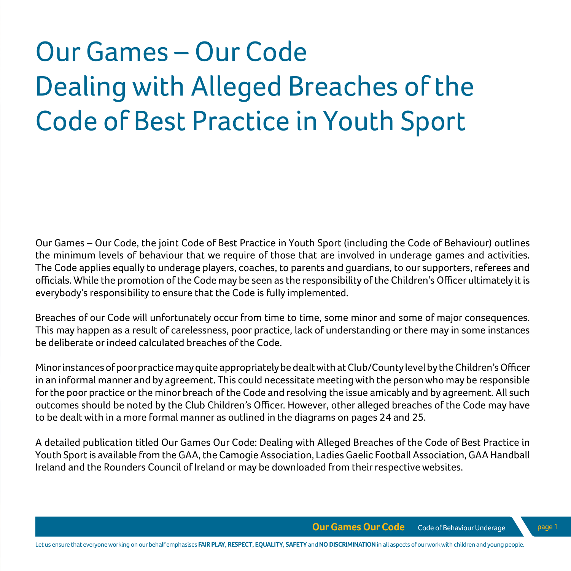# Our Games – Our Code Dealing with Alleged Breaches of the Code of Best Practice in Youth Sport

Our Games – Our Code, the joint Code of Best Practice in Youth Sport (including the Code of Behaviour) outlines the minimum levels of behaviour that we require of those that are involved in underage games and activities. The Code applies equally to underage players, coaches, to parents and guardians, to our supporters, referees and officials. While the promotion of the Code may be seen as the responsibility of the Children's Officer ultimately it is everybody's responsibility to ensure that the Code is fully implemented.

Breaches of our Code will unfortunately occur from time to time, some minor and some of major consequences. This may happen as a result of carelessness, poor practice, lack of understanding or there may in some instances be deliberate or indeed calculated breaches of the Code.

Minor instances of poor practice may quite appropriately be dealt with at Club/County level by the Children's Officer in an informal manner and by agreement. This could necessitate meeting with the person who may be responsible for the poor practice or the minor breach of the Code and resolving the issue amicably and by agreement. All such outcomes should be noted by the Club Children's Officer. However, other alleged breaches of the Code may have to be dealt with in a more formal manner as outlined in the diagrams on pages 24 and 25.

A detailed publication titled Our Games Our Code: Dealing with Alleged Breaches of the Code of Best Practice in Youth Sport is available from the GAA, the Camogie Association, Ladies Gaelic Football Association, GAA Handball Ireland and the Rounders Council of Ireland or may be downloaded from their respective websites.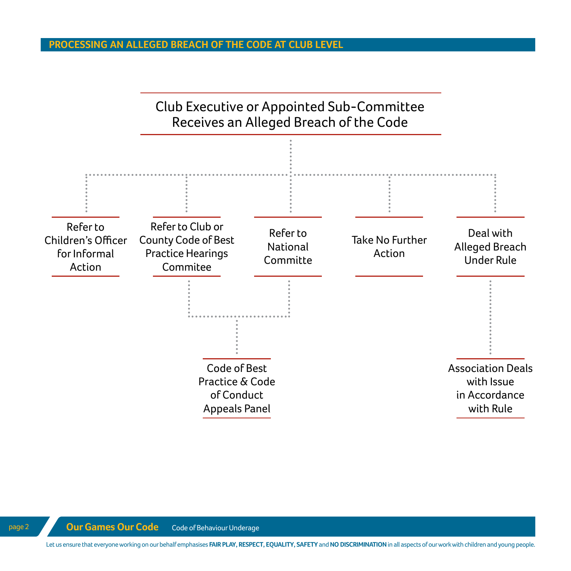#### **PROCESSING AN ALLEGED BREACH OF THE CODE AT CLUB LEVEL**



Let us ensure that everyone working on our behalf emphasises **FAIR PLAY, RESPECT, EQUALITY, SAFETY** and **NO DISCRIMINATION** in all aspects of our work with children and young people.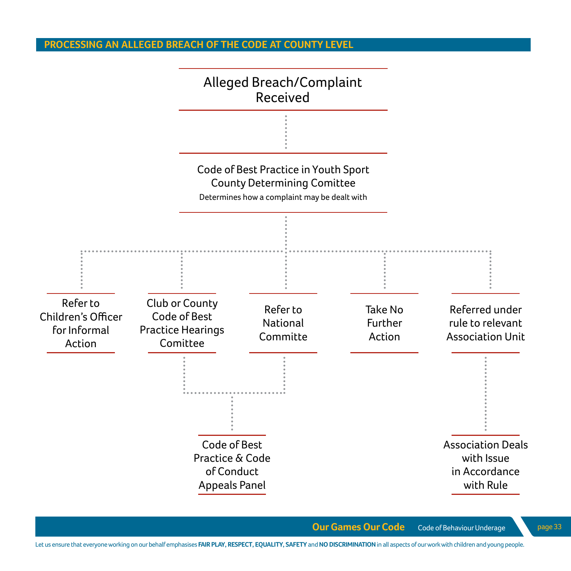### **PROCESSING AN ALLEGED BREACH OF THE CODE AT COUNTY LEVEL**